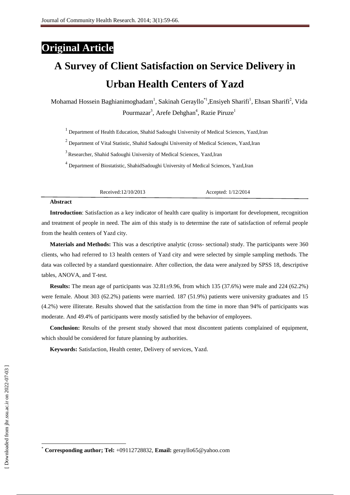## **Original Article**

# **A Survey of Client Satisfaction on Service Delivery in Urban Health Centers of Yazd**

Mohamad Hossein Baghianimoghadam<sup>1</sup>, Sakinah Gerayllo<sup>\*1</sup>, Ensiyeh Sharifi<sup>1</sup>, Ehsan Sharifi<sup>2</sup>, Vida Pourmazar<sup>3</sup>, Arefe Dehghan<sup>4</sup>, Razie Piruze<sup>1</sup>

<sup>1</sup> Department of Health Education, Shahid Sadoughi University of Medical Sciences, Yazd, Iran

<sup>2</sup> Department of Vital Statistic, Shahid Sadoughi University of Medical Sciences, Yazd,Iran

<sup>3</sup> Researcher, Shahid Sadoughi University of Medical Sciences, Yazd, Iran

<sup>4</sup> Department of Biostatistic, ShahidSadoughi University of Medical Sciences, Yazd,Iran

Received:12/10/2013 Accepted: 1/12/2014

#### **Abstract**

**Introduction**: Satisfaction as a key indicator of health care quality is important for development, recognition and treatment of people in need. The aim of this study is to determine the rate of satisfaction of referral people from the health centers of Yazd city.

**Materials and Methods:** This was a descriptive analytic (cross- sectional) study. The participants were 360 clients, who had referred to 13 health centers of Yazd city and were selected by simple sampling methods. The data was collected by a standard questionnaire. After collection, the data were analyzed by SPSS 18, descriptive tables, ANOVA, and T-test.

**Results:** The mean age of participants was  $32.81\pm9.96$ , from which 135 (37.6%) were male and 224 (62.2%) were female. About 303 (62.2%) patients were married. 187 (51.9%) patients were university graduates and 15 (4.2%) were illiterate. Results showed that the satisfaction from the time in more than 94% of participants was moderate. And 49.4% of participants were mostly satisfied by the behavior of employees.

**Conclusion:** Results of the present study showed that most discontent patients complained of equipment, which should be considered for future planning by authorities.

**Keywords:** Satisfaction, Health center, Delivery of services, Yazd.

 $\overline{\phantom{a}}$ 

<sup>\*</sup> **Corresponding author; Tel:** +09112728832, **Email:** gerayllo65@yahoo.com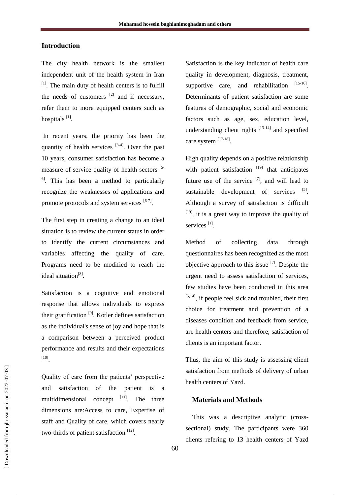### **Introduction**

The city health network is the smallest independent unit of the health system in Iran  $[1]$ . The main duty of health centers is to fulfill the needs of customers  $[2]$  and if necessary, refer them to more equipped centers such as hospitals [1].

In recent years, the priority has been the quantity of health services  $[3-4]$ . Over the past 10 years, consumer satisfaction has become a measure of service quality of health sectors [5-  $<sup>6</sup>$ . This has been a method to particularly</sup> recognize the weaknesses of applications and promote protocols and system services  $[6-7]$ .

The first step in creating a change to an ideal situation is to review the current status in order to identify the current circumstances and variables affecting the quality of care. Programs need to be modified to reach the ideal situation<sup>[8]</sup>.

Satisfaction is a cognitive and emotional response that allows individuals to express their gratification  $[9]$ . Kotler defines satisfaction as the individual's sense of joy and hope that is a comparison between a perceived product performance and results and their expectations [10] .

Quality of care from the patients' perspective and satisfaction of the patient is a multidimensional concept  $[11]$ . The three dimensions are:Access to care, Expertise of staff and Quality of care, which covers nearly two-thirds of patient satisfaction [12].

Satisfaction is the key indicator of health care quality in development, diagnosis, treatment, supportive care, and rehabilitation  $[15-16]$ . Determinants of patient satisfaction are some features of demographic, social and economic factors such as age, sex, education level, understanding client rights [13-14] and specified care system [17-18].

High quality depends on a positive relationship with patient satisfaction  $[19]$  that anticipates future use of the service  $[7]$ , and will lead to sustainable development of services  $[5]$ . Although a survey of satisfaction is difficult  $[19]$ , it is a great way to improve the quality of services<sup>[1]</sup>.

Method of collecting data through questionnaires has been recognized as the most objective approach to this issue  $^{[7]}$ . Despite the urgent need to assess satisfaction of services, few studies have been conducted in this area  $[5,14]$ , if people feel sick and troubled, their first choice for treatment and prevention of a diseases condition and feedback from service, are health centers and therefore, satisfaction of clients is an important factor.

Thus, the aim of this study is assessing client satisfaction from methods of delivery of urban health centers of Yazd.

#### **Materials and Methods**

This was a descriptive analytic (crosssectional) study. The participants were 360 clients refering to 13 health centers of Yazd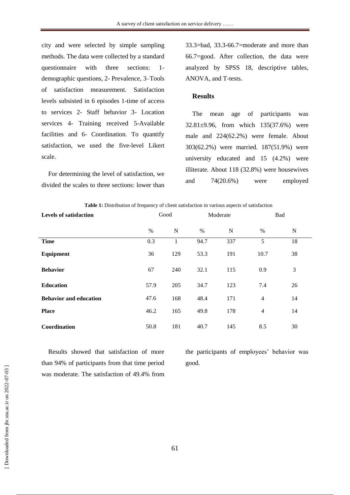city and were selected by simple sampling methods. The data were collected by a standard questionnaire with three sections: 1 demographic questions, 2- Prevalence, 3–Tools of satisfaction measurement. Satisfaction levels subsisted in 6 episodes 1-time of access to services 2- Staff behavior 3- Location services 4- Training received 5-Available facilities and 6- Coordination. To quantify satisfaction, we used the five-level Likert scale.

For determining the level of satisfaction, we divided the scales to three sections: lower than 33.3=bad, 33.3-66.7=moderate and more than 66.7=good. After collection, the data were analyzed by SPSS 18, descriptive tables, ANOVA, and T-tests.

#### **Results**

The mean age of participants was 32.81±9.96, from which 135(37.6%) were male and 224(62.2%) were female. About 303(62.2%) were married. 187(51.9%) were university educated and 15 (4.2%) were illiterate. About 118 (32.8%) were housewives and 74(20.6%) were employed

|                               | <b>Table 1.</b> Distribution of frequency of chem satisfaction in various aspects of satisfaction |     |          |     |                |    |  |
|-------------------------------|---------------------------------------------------------------------------------------------------|-----|----------|-----|----------------|----|--|
| <b>Levels of satisfaction</b> | Good                                                                                              |     | Moderate |     | Bad            |    |  |
|                               | $\%$                                                                                              | N   | $\%$     | N   | $\%$           | N  |  |
| <b>Time</b>                   | 0.3                                                                                               | 1   | 94.7     | 337 | 5              | 18 |  |
| Equipment                     | 36                                                                                                | 129 | 53.3     | 191 | 10.7           | 38 |  |
| <b>Behavior</b>               | 67                                                                                                | 240 | 32.1     | 115 | 0.9            | 3  |  |
| <b>Education</b>              | 57.9                                                                                              | 205 | 34.7     | 123 | 7.4            | 26 |  |
| <b>Behavior and education</b> | 47.6                                                                                              | 168 | 48.4     | 171 | $\overline{4}$ | 14 |  |
| <b>Place</b>                  | 46.2                                                                                              | 165 | 49.8     | 178 | $\overline{4}$ | 14 |  |
| Coordination                  | 50.8                                                                                              | 181 | 40.7     | 145 | 8.5            | 30 |  |

**Table 1:** Distribution of frequency of client satisfaction in various aspects of satisfaction

Results showed that satisfaction of more than 94% of participants from that time period was moderate. The satisfaction of 49.4% from the participants of employees' behavior was good.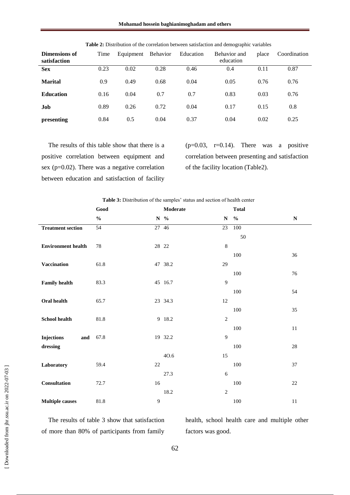**Mohamad hossein baghianimoghadam and others**

| Dimensions of<br>satisfaction | Time | Equipment | Behavior | Education | Behavior and<br>education | place | Coordination |
|-------------------------------|------|-----------|----------|-----------|---------------------------|-------|--------------|
| <b>Sex</b>                    | 0.23 | 0.02      | 0.28     | 0.46      | 0.4                       | 0.11  | 0.87         |
| <b>Marital</b>                | 0.9  | 0.49      | 0.68     | 0.04      | 0.05                      | 0.76  | 0.76         |
| <b>Education</b>              | 0.16 | 0.04      | 0.7      | 0.7       | 0.83                      | 0.03  | 0.76         |
| Job                           | 0.89 | 0.26      | 0.72     | 0.04      | 0.17                      | 0.15  | 0.8          |
| presenting                    | 0.84 | 0.5       | 0.04     | 0.37      | 0.04                      | 0.02  | 0.25         |

**Table 2:** Distribution of the correlation between satisfaction and demographic variables

The results of this table show that there is a positive correlation between equipment and sex (p=0.02). There was a negative correlation between education and satisfaction of facility

 $(p=0.03, r=0.14)$ . There was a positive correlation between presenting and satisfaction of the facility location (Table2).

| Good          |        | Moderate |                                                                                    | <b>Total</b>  |                                                                                 |  |
|---------------|--------|----------|------------------------------------------------------------------------------------|---------------|---------------------------------------------------------------------------------|--|
| $\frac{0}{0}$ |        |          | $\mathbf N$                                                                        | $\frac{0}{0}$ | ${\bf N}$                                                                       |  |
| 54            |        |          | 23                                                                                 | 100           |                                                                                 |  |
|               |        |          |                                                                                    | 50            |                                                                                 |  |
| 78            |        |          | $\,8\,$                                                                            |               |                                                                                 |  |
|               |        |          |                                                                                    | 100           | 36                                                                              |  |
| 61.8          |        |          | 29                                                                                 |               |                                                                                 |  |
|               |        |          |                                                                                    | 100           | 76                                                                              |  |
| 83.3          |        |          | 9                                                                                  |               |                                                                                 |  |
|               |        |          |                                                                                    | 100           | 54                                                                              |  |
| 65.7          |        |          | 12                                                                                 |               |                                                                                 |  |
|               |        |          |                                                                                    | 100           | 35                                                                              |  |
| 81.8          |        |          | $\overline{2}$                                                                     |               |                                                                                 |  |
|               |        |          |                                                                                    | 100           | 11                                                                              |  |
| 67.8          |        |          | 9                                                                                  |               |                                                                                 |  |
|               |        |          |                                                                                    | 100           | $28\,$                                                                          |  |
|               |        | 40.6     | 15                                                                                 |               |                                                                                 |  |
| 59.4          | $22\,$ |          |                                                                                    | 100           | 37                                                                              |  |
|               |        | 27.3     | $\sqrt{6}$                                                                         |               |                                                                                 |  |
| 72.7          | 16     |          |                                                                                    | 100           | $22\,$                                                                          |  |
|               |        | 18.2     | $\overline{2}$                                                                     |               |                                                                                 |  |
| 81.8          | 9      |          |                                                                                    | 100           | 11                                                                              |  |
|               | and    |          | $N \gamma$<br>27 46<br>28 22<br>47 38.2<br>45 16.7<br>23 34.3<br>9 18.2<br>19 32.2 |               | <b>Rable 3.</b> Distribution of the samples status and section of health center |  |

**Table 3:** Distribution of the samples' status and section of health center

The results of table 3 show that satisfaction of more than 80% of participants from family health, school health care and multiple other factors was good.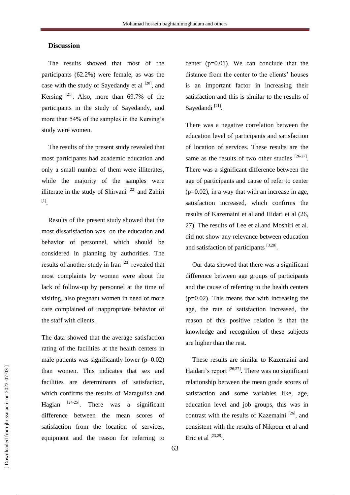### **Discussion**

The results showed that most of the participants (62.2%) were female, as was the case with the study of Sayedandy et al  $[20]$ , and Kersing  $^{[21]}$ . Also, more than 69.7% of the participants in the study of Sayedandy, and more than 54% of the samples in the Kersing's study were women.

The results of the present study revealed that most participants had academic education and only a small number of them were illiterates, while the majority of the samples were illiterate in the study of Shirvani<sup>[22]</sup> and Zahiri [1] .

Results of the present study showed that the most dissatisfaction was on the education and behavior of personnel, which should be considered in planning by authorities. The results of another study in Iran [23] revealed that most complaints by women were about the lack of follow-up by personnel at the time of visiting, also pregnant women in need of more care complained of inappropriate behavior of the staff with clients.

The data showed that the average satisfaction rating of the facilities at the health centers in male patients was significantly lower  $(p=0.02)$ than women. This indicates that sex and facilities are determinants of satisfaction, which confirms the results of Maragulish and Hagian  $[24-25]$ . There was a significant difference between the mean scores of satisfaction from the location of services, equipment and the reason for referring to

center  $(p=0.01)$ . We can conclude that the distance from the center to the clients' houses is an important factor in increasing their satisfaction and this is similar to the results of Sayedandi<sup>[21]</sup>.

There was a negative correlation between the education level of participants and satisfaction of location of services. These results are the same as the results of two other studies  $[26-27]$ . There was a significant difference between the age of participants and cause of refer to center  $(p=0.02)$ , in a way that with an increase in age, satisfaction increased, which confirms the results of Kazemaini et al and Hidari et al (26, 27). The results of Lee et al.and Moshiri et al. did not show any relevance between education and satisfaction of participants [3,28].

Our data showed that there was a significant difference between age groups of participants and the cause of referring to the health centers  $(p=0.02)$ . This means that with increasing the age, the rate of satisfaction increased, the reason of this positive relation is that the knowledge and recognition of these subjects are higher than the rest.

These results are similar to Kazemaini and Haidari's report  $[26,27]$ . There was no significant relationship between the mean grade scores of satisfaction and some variables like, age, education level and job groups, this was in contrast with the results of Kazemaini  $[26]$ , and consistent with the results of Nikpour et al and Eric et al  $^{[23,29]}$ .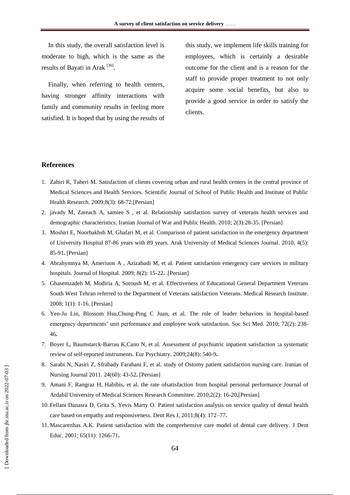In this study, the overall satisfaction level is moderate to high, which is the same as the results of Bayati in Arak<sup>[30]</sup>.

Finally, when referring to health centers, having stronger affinity interactions with family and community results in feeling more satisfied. It is hoped that by using the results of this study, we implement life skills training for employees, which is certainly a desirable outcome for the client and is a reason for the staff to provide proper treatment to not only acquire some social benefits, but also to provide a good service in order to satisfy the clients.

#### **References**

- 1. Zahiri R, Taheri M. Satisfaction of clients covering urban and rural health centers in the central province of Medical Sciences and Health Services. Scientific Journal of School of Public Health and Institute of Public Health Research. 2009;8(3): 68-72.[Persian]
- 2. javady M, Zareach A, samiee S , et al. Relationship satisfaction survey of veterans health services and demographic characteristics. Iranian Journal of War and Public Health. 2010; 2(3):28-35. [Persian]
- 3. Moshiri E, Noorbakhsh M, Ghafari M, et al. Comparison of patient satisfaction in the emergency department of University Hospital 87-86 years with 89 years. Arak University of Medical Sciences Journal. 2010; 4(5): 85-91**.** [Persian]
- 4. Abrahymnya M, Ameriuon A , Azizabadi M, et al. Patient satisfaction emergency care services in military hospitals. Journal of Hospital. 2009; 8(2): 15-22**.** .[Persian]
- 5. Ghasemzadeh M, Modiria A, Soroush M, et al. Effectiveness of Educational General Department Veterans South West Tehran referred to the Department of Veterans satisfaction Veterans. Medical Research Institute. 2008; 1(1): 1-16. [Persian]
- 6. Yen-Ju Lin, Blossom Hsu,Chung-Ping C Juan, et al. The role of leader behaviors in hospital-based emergency departments' unit performance and employee work satisfaction. [Soc Sci Med.](http://www.ncbi.nlm.nih.gov/pubmed/21159414) 2010; 72(2): 238- 46**.**
- 7. Boyer L, Baumstarck-Barrau K,Cano N, et al. Assessment of psychiatric inpatient satisfaction **:**a systematic review of self-reported instruments[. Eur Psychiatry.](http://www.ncbi.nlm.nih.gov/pubmed/19699617) 2009;24(8): 540-9**.**
- 8. Sarabi N, Nasiri Z, Sfrabady Farahani F, et al. study of Ostomy patient satisfaction nursing care. Iranian of Nursing Journal 2011. 24(60): 43-52**.** [Persian]
- 9. Amani F, Rangraz H, Habibis, et al. the rate ofsatisfaction from hospital personal performance Journal of Ardabil University of Medical Sciences Research Committee. 2010;2(2): 16-20**.**[Persian]
- 10. Fellani Danasra D, Grita S, Yevis Marty O. Patient satisfaction analysis on service quality of dental health care based on empathy and responsiveness. Dent Res J, 2011;8(4): 172–77**.**
- 11. Mascarenhas A.K. Patient satisfaction with the comprehensive care model of dental care delivery. [J Dent](http://www.ncbi.nlm.nih.gov/pubmed/11765873)  [Educ.](http://www.ncbi.nlm.nih.gov/pubmed/11765873) 2001; 65(11): 1266-71**.**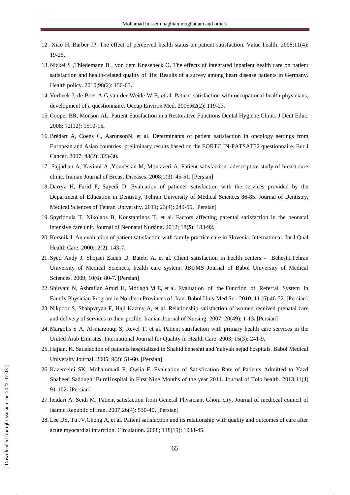- 12. Xiao H, Barber JP. The effect of perceived health status on patient satisfaction. Value health. 2008;11(4): 19-25.
- 13. Nickel S ,Thiedemann B , [von dem Knesebeck O.](http://www.ncbi.nlm.nih.gov/pubmed?term=von%20dem%20Knesebeck%20O%5BAuthor%5D&cauthor=true&cauthor_uid=20619920) The effects of integrated inpatient health care on patient satisfaction and health-related quality of life: Results of a survey among heart disease patients in Germany. Health policy. 2010;98(2): 156-63**.**
- 14. Verbeek J, de Boer A G,van der Weide W E, et al. Patient satisfaction with occupational health physicians, development of a questionnaire[. Occup Environ Med.](http://www.ncbi.nlm.nih.gov/pubmed/15657194) 2005;62(2): 119-23**.**
- 15. Cooper BR, Monson AL. Patient Satisfaction in a Restorative Functions Dental Hygiene Clinic. [J Dent Educ.](http://www.ncbi.nlm.nih.gov/pubmed/19056630) 2008; 72(12): 1510-15**.**
- 16. Brédart A, Coens C, AaronsonN, et al. Determinants of patient satisfaction in oncology settings from European and Asian countries: preliminary results based on the EORTC IN-PATSAT32 questionnaire. [Eur J](http://www.ncbi.nlm.nih.gov/pubmed/17156997)  [Cancer.](http://www.ncbi.nlm.nih.gov/pubmed/17156997) 2007; 43(2): 323-30**.**
- 17. Sajjadian A, Kaviani A ,Younesian M, Montazeri A. Patient satisfaction: adescriptive study of breast care clinic. Iranian Journal of Breast Diseases. 2008;1(3): 45-51**.** [Persian]
- 18. Darryz H, Farid F, Sayedi D. Evaluation of patients' satisfaction with the services provided by the Department of Education in Dentistry, Tehran University of Medical Sciences 86-85. Journal of Dentistry, Medical Sciences of Tehran University. 2011; 23(4): 249-55**.** [Persian]
- 19. Spyridoula T, Nikolaos B, Konstantinos T, et al. Factors affecting parental satisfaction in the neonatal intensive care unit. Journal of Neonatal Nursing. 2012; 18(5): 183-92.
- 20. Kersnik J. An evaluation of patient satisfaction with family practice care in Slovenia. International. [Int J Qual](http://www.ncbi.nlm.nih.gov/pubmed/10830671)  [Health Care.](http://www.ncbi.nlm.nih.gov/pubmed/10830671) 2000;12(2): 143-7.
- 21. Syed Andy J, Shojaei Zadeh D, Batebi A, et al. Client satisfaction in health centers BeheshtiTehran University of Medical Sciences, health care system. JBUMS Journal of Babol University of Medical Sciences. 2009; 10(6): 80-7**.** [Persian]
- 22. Shirvani N, Ashrafian Amiri H, Motlagh M E, et al. Evaluation of the Function of Referral System in Family Physician Program in Northern Provinces of Iran. Babol Univ Med Sci. 2010; 11 (6):46-52. [Persian]
- 23. Nikpoor S, Shahpvryan F, Haji Kazmy A, et al. Relationship satisfaction of women received prenatal care and delivery of services to their profile. Iranian Journal of Nursing. 2007; 20(49): 1-13**.** [Persian]
- 24. Margolis S A, Al-marzouqi S, Revel T, et al. Patient satisfaction with primary health care services in the United Arab Emirates. International Journal for Quality in Health Care. 2003; 15(3): 241-9.
- 25. Hajian, K. Satisfaction of patients hospitalized in Shahid beheshti and Yahyah nejad hospitals. Babol Medical University Journal. 2005; 9(2): 51-60. [Persian]
- 26. Kazemeini SK, Mohammadi F, Owlia F. Evaluation of Satisfication Rate of Patients Admitted to Yazd Shaheed Sadoughi BurnHospital in First Nine Months of the year 2011. Journal of Tolo health. 2013;11(4) 91-102**.** [Persian]
- 27. heidari A, Seidi M. Patient satisfaction from General Physiciant Ghom city. Journal of mediccal council of Isamic Republic of Iran. 2007;26(4): 530-40**.** [Persian]
- 28. Lee DS, Tu JV,Chong A, et al. Patient satisfaction and its relationship with quality and outcomes of care after acute myocardial infarction. Circulation. 2008; 118(19): 1938-45.